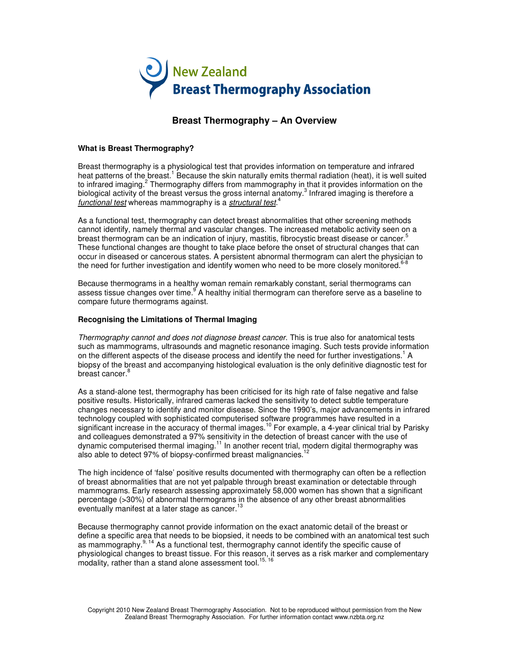

# **Breast Thermography – An Overview**

# **What is Breast Thermography?**

Breast thermography is a physiological test that provides information on temperature and infrared heat patterns of the breast.<sup>1</sup> Because the skin naturally emits thermal radiation (heat), it is well suited to infrared imaging.<sup>2</sup> Thermography differs from mammography in that it provides information on the biological activity of the breast versus the gross internal anatomy.<sup>3</sup> Infrared imaging is therefore a functional test whereas mammography is a structural test.<sup>4</sup>

As a functional test, thermography can detect breast abnormalities that other screening methods cannot identify, namely thermal and vascular changes. The increased metabolic activity seen on a breast thermogram can be an indication of injury, mastitis, fibrocystic breast disease or cancer.<sup>5</sup> These functional changes are thought to take place before the onset of structural changes that can occur in diseased or cancerous states. A persistent abnormal thermogram can alert the physician to the need for further investigation and identify women who need to be more closely monitored.<sup>6</sup>

Because thermograms in a healthy woman remain remarkably constant, serial thermograms can assess tissue changes over time. A healthy initial thermogram can therefore serve as a baseline to compare future thermograms against.

### **Recognising the Limitations of Thermal Imaging**

Thermography cannot and does not diagnose breast cancer. This is true also for anatomical tests such as mammograms, ultrasounds and magnetic resonance imaging. Such tests provide information on the different aspects of the disease process and identify the need for further investigations.<sup>1</sup> A biopsy of the breast and accompanying histological evaluation is the only definitive diagnostic test for breast cancer.<sup>8</sup>

As a stand-alone test, thermography has been criticised for its high rate of false negative and false positive results. Historically, infrared cameras lacked the sensitivity to detect subtle temperature changes necessary to identify and monitor disease. Since the 1990's, major advancements in infrared technology coupled with sophisticated computerised software programmes have resulted in a significant increase in the accuracy of thermal images.<sup>10</sup> For example, a 4-year clinical trial by Parisky and colleagues demonstrated a 97% sensitivity in the detection of breast cancer with the use of dynamic computerised thermal imaging.<sup>11</sup> In another recent trial, modern digital thermography was also able to detect 97% of biopsy-confirmed breast malignancies.<sup>12</sup>

The high incidence of 'false' positive results documented with thermography can often be a reflection of breast abnormalities that are not yet palpable through breast examination or detectable through mammograms. Early research assessing approximately 58,000 women has shown that a significant percentage (>30%) of abnormal thermograms in the absence of any other breast abnormalities eventually manifest at a later stage as cancer.<sup>13</sup>

Because thermography cannot provide information on the exact anatomic detail of the breast or define a specific area that needs to be biopsied, it needs to be combined with an anatomical test such as mammography. $9, 14$  As a functional test, thermography cannot identify the specific cause of physiological changes to breast tissue. For this reason, it serves as a risk marker and complementary modality, rather than a stand alone assessment tool.<sup>15,16</sup>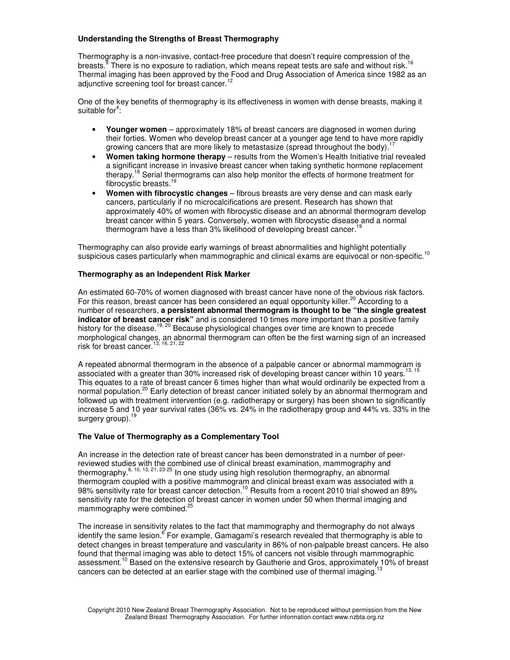# **Understanding the Strengths of Breast Thermography**

Thermography is a non-invasive, contact-free procedure that doesn't require compression of the breasts.<sup>8</sup> There is no exposure to radiation, which means repeat tests are safe and without risk.<sup>16</sup> Thermal imaging has been approved by the Food and Drug Association of America since 1982 as an adjunctive screening tool for breast cancer.<sup>12</sup>

One of the key benefits of thermography is its effectiveness in women with dense breasts, making it suitable for<sup>4</sup>:

- **Younger women** approximately 18% of breast cancers are diagnosed in women during their forties. Women who develop breast cancer at a younger age tend to have more rapidly growing cancers that are more likely to metastasize (spread throughout the body).<sup>17</sup>
- **Women taking hormone therapy** results from the Women's Health Initiative trial revealed a significant increase in invasive breast cancer when taking synthetic hormone replacement therapy.<sup>18</sup> Serial thermograms can also help monitor the effects of hormone treatment for fibrocystic breasts.<sup>19</sup>
- **Women with fibrocystic changes** fibrous breasts are very dense and can mask early cancers, particularly if no microcalcifications are present. Research has shown that approximately 40% of women with fibrocystic disease and an abnormal thermogram develop breast cancer within 5 years. Conversely, women with fibrocystic disease and a normal thermogram have a less than 3% likelihood of developing breast cancer.<sup>1</sup>

Thermography can also provide early warnings of breast abnormalities and highlight potentially suspicious cases particularly when mammographic and clinical exams are equivocal or non-specific.<sup>10</sup>

# **Thermography as an Independent Risk Marker**

An estimated 60-70% of women diagnosed with breast cancer have none of the obvious risk factors. For this reason, breast cancer has been considered an equal opportunity killer.<sup>20</sup> According to a number of researchers, **a persistent abnormal thermogram is thought to be "the single greatest indicator of breast cancer risk"** and is considered 10 times more important than a positive family history for the disease.<sup>19, 20</sup> Because physiological changes over time are known to precede morphological changes, an abnormal thermogram can often be the first warning sign of an increased risk for breast cancer.13, 16, 21, 22

A repeated abnormal thermogram in the absence of a palpable cancer or abnormal mammogram is associated with a greater than 30% increased risk of developing breast cancer within 10 years.<sup>13, 15</sup> This equates to a rate of breast cancer 6 times higher than what would ordinarily be expected from a normal population.<sup>20</sup> Early detection of breast cancer initiated solely by an abnormal thermogram and followed up with treatment intervention (e.g. radiotherapy or surgery) has been shown to significantly increase 5 and 10 year survival rates (36% vs. 24% in the radiotherapy group and 44% vs. 33% in the surgery group). $<sup>1</sup>$ </sup>

### **The Value of Thermography as a Complementary Tool**

An increase in the detection rate of breast cancer has been demonstrated in a number of peerreviewed studies with the combined use of clinical breast examination, mammography and thermography.<sup>6, 10, 13, 21, 23-25</sup> In one study using high resolution thermography, an abnormal thermogram coupled with a positive mammogram and clinical breast exam was associated with a 98% sensitivity rate for breast cancer detection.<sup>10</sup> Results from a recent 2010 trial showed an 89% sensitivity rate for the detection of breast cancer in women under 50 when thermal imaging and mammography were combined.<sup>25</sup>

The increase in sensitivity relates to the fact that mammography and thermography do not always identify the same lesion.<sup>6</sup> For example, Gamagami's research revealed that thermography is able to detect changes in breast temperature and vascularity in 86% of non-palpable breast cancers. He also found that thermal imaging was able to detect 15% of cancers not visible through mammographic assessment.<sup>10</sup> Based on the extensive research by Gautherie and Gros, approximately 10% of breast cancers can be detected at an earlier stage with the combined use of thermal imaging.<sup>13</sup>